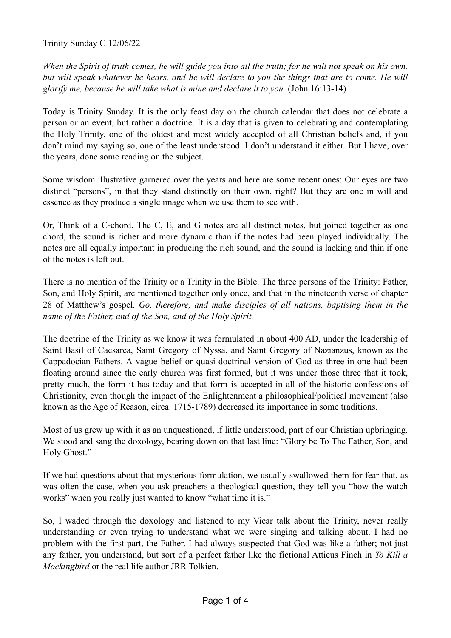Trinity Sunday C 12/06/22

*When the Spirit of truth comes, he will guide you into all the truth; for he will not speak on his own, but will speak whatever he hears, and he will declare to you the things that are to come. He will glorify me, because he will take what is mine and declare it to you.* (John 16:13-14)

Today is Trinity Sunday. It is the only feast day on the church calendar that does not celebrate a person or an event, but rather a doctrine. It is a day that is given to celebrating and contemplating the Holy Trinity, one of the oldest and most widely accepted of all Christian beliefs and, if you don't mind my saying so, one of the least understood. I don't understand it either. But I have, over the years, done some reading on the subject.

Some wisdom illustrative garnered over the years and here are some recent ones: Our eyes are two distinct "persons", in that they stand distinctly on their own, right? But they are one in will and essence as they produce a single image when we use them to see with.

Or, Think of a C-chord. The C, E, and G notes are all distinct notes, but joined together as one chord, the sound is richer and more dynamic than if the notes had been played individually. The notes are all equally important in producing the rich sound, and the sound is lacking and thin if one of the notes is left out.

There is no mention of the Trinity or a Trinity in the Bible. The three persons of the Trinity: Father, Son, and Holy Spirit, are mentioned together only once, and that in the nineteenth verse of chapter 28 of Matthew's gospel. *Go, therefore, and make disciples of all nations, baptising them in the name of the Father, and of the Son, and of the Holy Spirit.*

The doctrine of the Trinity as we know it was formulated in about 400 AD, under the leadership of Saint Basil of Caesarea, Saint Gregory of Nyssa, and Saint Gregory of Nazianzus, known as the Cappadocian Fathers. A vague belief or quasi-doctrinal version of God as three-in-one had been floating around since the early church was first formed, but it was under those three that it took, pretty much, the form it has today and that form is accepted in all of the historic confessions of Christianity, even though the impact of the Enlightenment a philosophical/political movement (also known as the Age of Reason, circa. 1715-1789) decreased its importance in some traditions.

Most of us grew up with it as an unquestioned, if little understood, part of our Christian upbringing. We stood and sang the doxology, bearing down on that last line: "Glory be To The Father, Son, and Holy Ghost."

If we had questions about that mysterious formulation, we usually swallowed them for fear that, as was often the case, when you ask preachers a theological question, they tell you "how the watch works" when you really just wanted to know "what time it is."

So, I waded through the doxology and listened to my Vicar talk about the Trinity, never really understanding or even trying to understand what we were singing and talking about. I had no problem with the first part, the Father. I had always suspected that God was like a father; not just any father, you understand, but sort of a perfect father like the fictional Atticus Finch in *To Kill a Mockingbird* or the real life author JRR Tolkien.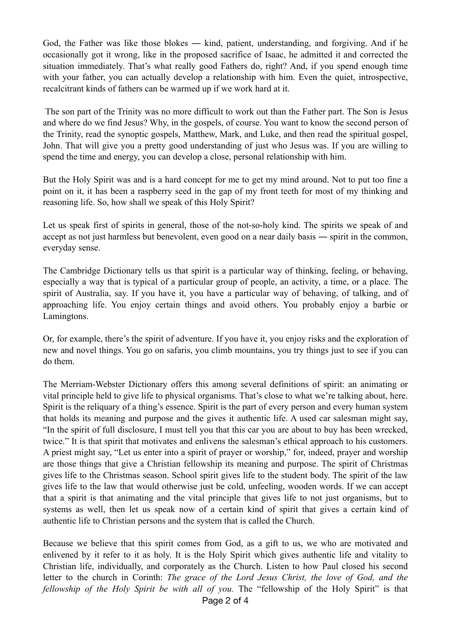God, the Father was like those blokes ― kind, patient, understanding, and forgiving. And if he occasionally got it wrong, like in the proposed sacrifice of Isaac, he admitted it and corrected the situation immediately. That's what really good Fathers do, right? And, if you spend enough time with your father, you can actually develop a relationship with him. Even the quiet, introspective, recalcitrant kinds of fathers can be warmed up if we work hard at it.

 The son part of the Trinity was no more difficult to work out than the Father part. The Son is Jesus and where do we find Jesus? Why, in the gospels, of course. You want to know the second person of the Trinity, read the synoptic gospels, Matthew, Mark, and Luke, and then read the spiritual gospel, John. That will give you a pretty good understanding of just who Jesus was. If you are willing to spend the time and energy, you can develop a close, personal relationship with him.

But the Holy Spirit was and is a hard concept for me to get my mind around. Not to put too fine a point on it, it has been a raspberry seed in the gap of my front teeth for most of my thinking and reasoning life. So, how shall we speak of this Holy Spirit?

Let us speak first of spirits in general, those of the not-so-holy kind. The spirits we speak of and accept as not just harmless but benevolent, even good on a near daily basis ― spirit in the common, everyday sense.

The Cambridge Dictionary tells us that spirit is a particular way of thinking, feeling, or behaving, especially a way that is typical of a particular group of people, an activity, a time, or a place. The spirit of Australia, say. If you have it, you have a particular way of behaving, of talking, and of approaching life. You enjoy certain things and avoid others. You probably enjoy a barbie or Lamingtons.

Or, for example, there's the spirit of adventure. If you have it, you enjoy risks and the exploration of new and novel things. You go on safaris, you climb mountains, you try things just to see if you can do them.

The Merriam-Webster Dictionary offers this among several definitions of spirit: an animating or vital principle held to give life to physical organisms. That's close to what we're talking about, here. Spirit is the reliquary of a thing's essence. Spirit is the part of every person and every human system that holds its meaning and purpose and the gives it authentic life. A used car salesman might say, "In the spirit of full disclosure, I must tell you that this car you are about to buy has been wrecked, twice." It is that spirit that motivates and enlivens the salesman's ethical approach to his customers. A priest might say, "Let us enter into a spirit of prayer or worship," for, indeed, prayer and worship are those things that give a Christian fellowship its meaning and purpose. The spirit of Christmas gives life to the Christmas season. School spirit gives life to the student body. The spirit of the law gives life to the law that would otherwise just be cold, unfeeling, wooden words. If we can accept that a spirit is that animating and the vital principle that gives life to not just organisms, but to systems as well, then let us speak now of a certain kind of spirit that gives a certain kind of authentic life to Christian persons and the system that is called the Church.

Because we believe that this spirit comes from God, as a gift to us, we who are motivated and enlivened by it refer to it as holy. It is the Holy Spirit which gives authentic life and vitality to Christian life, individually, and corporately as the Church. Listen to how Paul closed his second letter to the church in Corinth: *The grace of the Lord Jesus Christ, the love of God, and the fellowship of the Holy Spirit be with all of you.* The "fellowship of the Holy Spirit" is that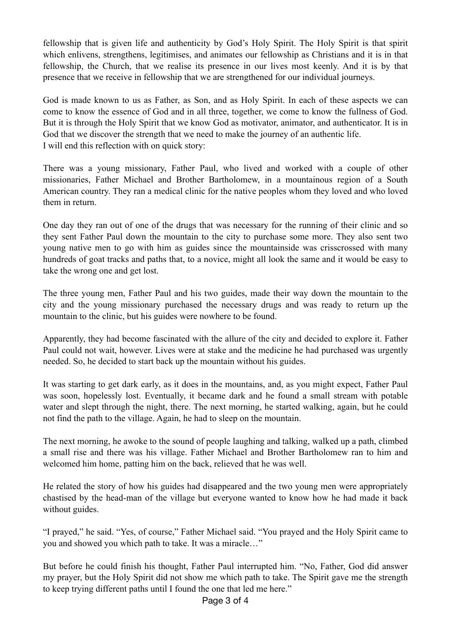fellowship that is given life and authenticity by God's Holy Spirit. The Holy Spirit is that spirit which enlivens, strengthens, legitimises, and animates our fellowship as Christians and it is in that fellowship, the Church, that we realise its presence in our lives most keenly. And it is by that presence that we receive in fellowship that we are strengthened for our individual journeys.

God is made known to us as Father, as Son, and as Holy Spirit. In each of these aspects we can come to know the essence of God and in all three, together, we come to know the fullness of God. But it is through the Holy Spirit that we know God as motivator, animator, and authenticator. It is in God that we discover the strength that we need to make the journey of an authentic life. I will end this reflection with on quick story:

There was a young missionary, Father Paul, who lived and worked with a couple of other missionaries, Father Michael and Brother Bartholomew, in a mountainous region of a South American country. They ran a medical clinic for the native peoples whom they loved and who loved them in return.

One day they ran out of one of the drugs that was necessary for the running of their clinic and so they sent Father Paul down the mountain to the city to purchase some more. They also sent two young native men to go with him as guides since the mountainside was crisscrossed with many hundreds of goat tracks and paths that, to a novice, might all look the same and it would be easy to take the wrong one and get lost.

The three young men, Father Paul and his two guides, made their way down the mountain to the city and the young missionary purchased the necessary drugs and was ready to return up the mountain to the clinic, but his guides were nowhere to be found.

Apparently, they had become fascinated with the allure of the city and decided to explore it. Father Paul could not wait, however. Lives were at stake and the medicine he had purchased was urgently needed. So, he decided to start back up the mountain without his guides.

It was starting to get dark early, as it does in the mountains, and, as you might expect, Father Paul was soon, hopelessly lost. Eventually, it became dark and he found a small stream with potable water and slept through the night, there. The next morning, he started walking, again, but he could not find the path to the village. Again, he had to sleep on the mountain.

The next morning, he awoke to the sound of people laughing and talking, walked up a path, climbed a small rise and there was his village. Father Michael and Brother Bartholomew ran to him and welcomed him home, patting him on the back, relieved that he was well.

He related the story of how his guides had disappeared and the two young men were appropriately chastised by the head-man of the village but everyone wanted to know how he had made it back without guides.

"I prayed," he said. "Yes, of course," Father Michael said. "You prayed and the Holy Spirit came to you and showed you which path to take. It was a miracle…"

But before he could finish his thought, Father Paul interrupted him. "No, Father, God did answer my prayer, but the Holy Spirit did not show me which path to take. The Spirit gave me the strength to keep trying different paths until I found the one that led me here."